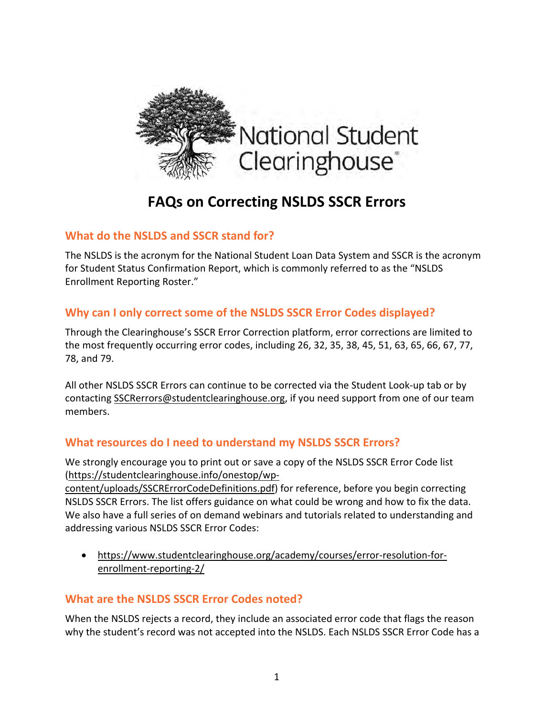

# **FAQs on Correcting NSLDS SSCR Errors**

## **What do the NSLDS and SSCR stand for?**

The NSLDS is the acronym for the National Student Loan Data System and SSCR is the acronym for Student Status Confirmation Report, which is commonly referred to as the "NSLDS Enrollment Reporting Roster."

## **Why can I only correct some of the NSLDS SSCR Error Codes displayed?**

Through the Clearinghouse's SSCR Error Correction platform, error corrections are limited to the most frequently occurring error codes, including 26, 32, 35, 38, 45, 51, 63, 65, 66, 67, 77, 78, and 79.

All other NSLDS SSCR Errors can continue to be corrected via the Student Look-up tab or by contacting SSCRerrors@studentclearinghouse.org, if you need support from one of our team members.

## **What resources do I need to understand my NSLDS SSCR Errors?**

We strongly encourage you to print out or save a copy of the NSLDS SSCR Error Code list (https://studentclearinghouse.info/onestop/wp-

content/uploads/SSCRErrorCodeDefinitions.pdf) for reference, before you begin correcting NSLDS SSCR Errors. The list offers guidance on what could be wrong and how to fix the data. We also have a full series of on demand webinars and tutorials related to understanding and addressing various NSLDS SSCR Error Codes:

• https://www.studentclearinghouse.org/academy/courses/error-resolution-forenrollment-reporting-2/

# **What are the NSLDS SSCR Error Codes noted?**

When the NSLDS rejects a record, they include an associated error code that flags the reason why the student's record was not accepted into the NSLDS. Each NSLDS SSCR Error Code has a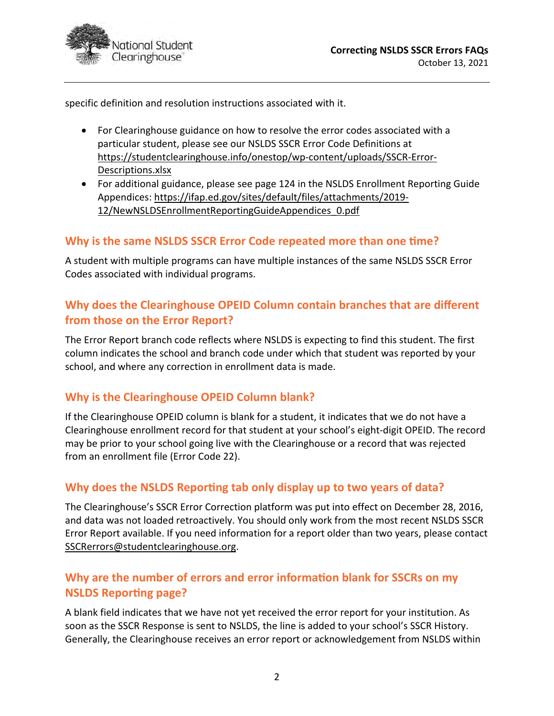

specific definition and resolution instructions associated with it.

- For Clearinghouse guidance on how to resolve the error codes associated with a particular student, please see our NSLDS SSCR Error Code Definitions at https://studentclearinghouse.info/onestop/wp-content/uploads/SSCR-Error-Descriptions.xlsx
- For additional guidance, please see page 124 in the NSLDS Enrollment Reporting Guide Appendices: https://ifap.ed.gov/sites/default/files/attachments/2019- 12/NewNSLDSEnrollmentReportingGuideAppendices\_0.pdf

## **Why is the same NSLDS SSCR Error Code repeated more than one time?**

A student with multiple programs can have multiple instances of the same NSLDS SSCR Error Codes associated with individual programs.

# **Why does the Clearinghouse OPEID Column contain branches that are different from those on the Error Report?**

The Error Report branch code reflects where NSLDS is expecting to find this student. The first column indicates the school and branch code under which that student was reported by your school, and where any correction in enrollment data is made.

## **Why is the Clearinghouse OPEID Column blank?**

If the Clearinghouse OPEID column is blank for a student, it indicates that we do not have a Clearinghouse enrollment record for that student at your school's eight-digit OPEID. The record may be prior to your school going live with the Clearinghouse or a record that was rejected from an enrollment file (Error Code 22).

## Why does the NSLDS Reporting tab only display up to two years of data?

The Clearinghouse's SSCR Error Correction platform was put into effect on December 28, 2016, and data was not loaded retroactively. You should only work from the most recent NSLDS SSCR Error Report available. If you need information for a report older than two years, please contact SSCRerrors@studentclearinghouse.org.

## Why are the number of errors and error information blank for SSCRs on my **NSLDS Reporting page?**

A blank field indicates that we have not yet received the error report for your institution. As soon as the SSCR Response is sent to NSLDS, the line is added to your school's SSCR History. Generally, the Clearinghouse receives an error report or acknowledgement from NSLDS within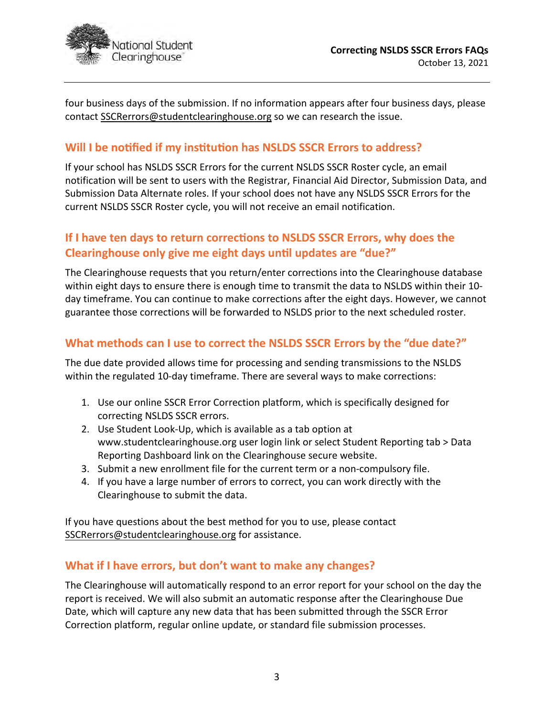

four business days of the submission. If no information appears after four business days, please contact SSCRerrors@studentclearinghouse.org so we can research the issue.

## **Will I be notified if my institution has NSLDS SSCR Errors to address?**

If your school has NSLDS SSCR Errors for the current NSLDS SSCR Roster cycle, an email notification will be sent to users with the Registrar, Financial Aid Director, Submission Data, and Submission Data Alternate roles. If your school does not have any NSLDS SSCR Errors for the current NSLDS SSCR Roster cycle, you will not receive an email notification.

## If I have ten days to return corrections to NSLDS SSCR Errors, why does the Clearinghouse only give me eight days until updates are "due?"

The Clearinghouse requests that you return/enter corrections into the Clearinghouse database within eight days to ensure there is enough time to transmit the data to NSLDS within their 10 day timeframe. You can continue to make corrections after the eight days. However, we cannot guarantee those corrections will be forwarded to NSLDS prior to the next scheduled roster.

## **What methods can I use to correct the NSLDS SSCR Errors by the "due date?"**

The due date provided allows time for processing and sending transmissions to the NSLDS within the regulated 10-day timeframe. There are several ways to make corrections:

- 1. Use our online SSCR Error Correction platform, which is specifically designed for correcting NSLDS SSCR errors.
- 2. Use Student Look-Up, which is available as a tab option at www.studentclearinghouse.org user login link or select Student Reporting tab > Data Reporting Dashboard link on the Clearinghouse secure website.
- 3. Submit a new enrollment file for the current term or a non-compulsory file.
- 4. If you have a large number of errors to correct, you can work directly with the Clearinghouse to submit the data.

If you have questions about the best method for you to use, please contact SSCRerrors@studentclearinghouse.org for assistance.

#### **What if I have errors, but don't want to make any changes?**

The Clearinghouse will automatically respond to an error report for your school on the day the report is received. We will also submit an automatic response after the Clearinghouse Due Date, which will capture any new data that has been submitted through the SSCR Error Correction platform, regular online update, or standard file submission processes.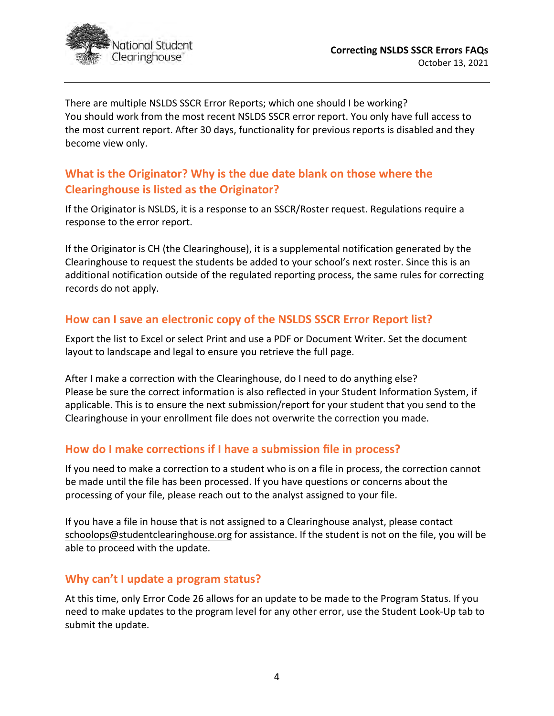

There are multiple NSLDS SSCR Error Reports; which one should I be working? You should work from the most recent NSLDS SSCR error report. You only have full access to the most current report. After 30 days, functionality for previous reports is disabled and they become view only.

# **What is the Originator? Why is the due date blank on those where the Clearinghouse is listed as the Originator?**

If the Originator is NSLDS, it is a response to an SSCR/Roster request. Regulations require a response to the error report.

If the Originator is CH (the Clearinghouse), it is a supplemental notification generated by the Clearinghouse to request the students be added to your school's next roster. Since this is an additional notification outside of the regulated reporting process, the same rules for correcting records do not apply.

## **How can I save an electronic copy of the NSLDS SSCR Error Report list?**

Export the list to Excel or select Print and use a PDF or Document Writer. Set the document layout to landscape and legal to ensure you retrieve the full page.

After I make a correction with the Clearinghouse, do I need to do anything else? Please be sure the correct information is also reflected in your Student Information System, if applicable. This is to ensure the next submission/report for your student that you send to the Clearinghouse in your enrollment file does not overwrite the correction you made.

## **How do I make correc�ons if I have a submission file in process?**

If you need to make a correction to a student who is on a file in process, the correction cannot be made until the file has been processed. If you have questions or concerns about the processing of your file, please reach out to the analyst assigned to your file.

If you have a file in house that is not assigned to a Clearinghouse analyst, please contact schoolops@studentclearinghouse.org for assistance. If the student is not on the file, you will be able to proceed with the update.

## **Why can't I update a program status?**

At this time, only Error Code 26 allows for an update to be made to the Program Status. If you need to make updates to the program level for any other error, use the Student Look-Up tab to submit the update.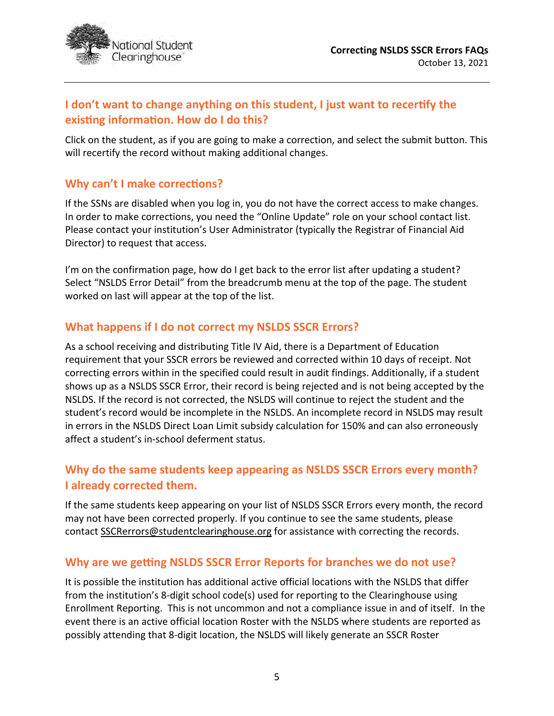

# **I don't want to change anything on this student, I just want to recer�fy the existing information. How do I do this?**

Click on the student, as if you are going to make a correction, and select the submit button. This will recertify the record without making additional changes.

## **Why can't I make corrections?**

If the SSNs are disabled when you log in, you do not have the correct access to make changes. In order to make corrections, you need the "Online Update" role on your school contact list. Please contact your institution's User Administrator (typically the Registrar of Financial Aid Director) to request that access.

I'm on the confirmation page, how do I get back to the error list after updating a student? Select "NSLDS Error Detail" from the breadcrumb menu at the top of the page. The student worked on last will appear at the top of the list.

## **What happens if I do not correct my NSLDS SSCR Errors?**

As a school receiving and distributing Title IV Aid, there is a Department of Education requirement that your SSCR errors be reviewed and corrected within 10 days of receipt. Not correcting errors within in the specified could result in audit findings. Additionally, if a student shows up as a NSLDS SSCR Error, their record is being rejected and is not being accepted by the NSLDS. If the record is not corrected, the NSLDS will continue to reject the student and the student's record would be incomplete in the NSLDS. An incomplete record in NSLDS may result in errors in the NSLDS Direct Loan Limit subsidy calculation for 150% and can also erroneously affect a student's in-school deferment status.

# **Why do the same students keep appearing as NSLDS SSCR Errors every month? I already corrected them.**

If the same students keep appearing on your list of NSLDS SSCR Errors every month, the record may not have been corrected properly. If you continue to see the same students, please contact SSCRerrors@studentclearinghouse.org for assistance with correcting the records.

## **Why are we getting NSLDS SSCR Error Reports for branches we do not use?**

It is possible the institution has additional active official locations with the NSLDS that differ from the institution's 8-digit school code(s) used for reporting to the Clearinghouse using Enrollment Reporting. This is not uncommon and not a compliance issue in and of itself. In the event there is an active official location Roster with the NSLDS where students are reported as possibly attending that 8-digit location, the NSLDS will likely generate an SSCR Roster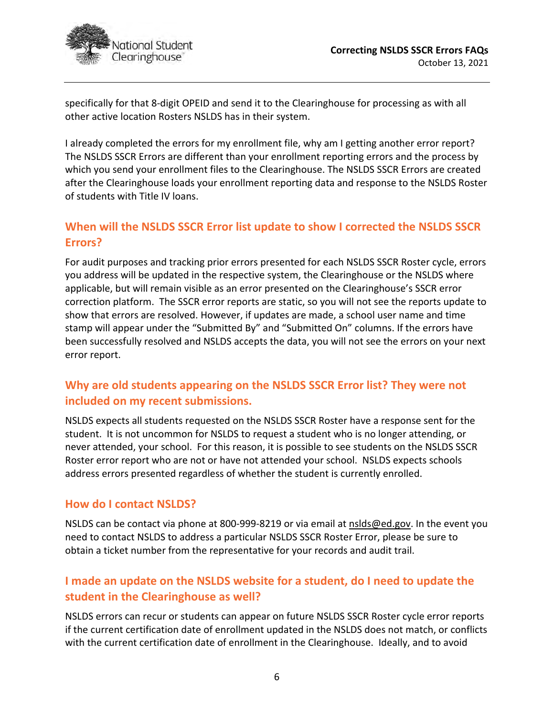

specifically for that 8-digit OPEID and send it to the Clearinghouse for processing as with all other active location Rosters NSLDS has in their system.

I already completed the errors for my enrollment file, why am I getting another error report? The NSLDS SSCR Errors are different than your enrollment reporting errors and the process by which you send your enrollment files to the Clearinghouse. The NSLDS SSCR Errors are created after the Clearinghouse loads your enrollment reporting data and response to the NSLDS Roster of students with Title IV loans.

# **When will the NSLDS SSCR Error list update to show I corrected the NSLDS SSCR Errors?**

For audit purposes and tracking prior errors presented for each NSLDS SSCR Roster cycle, errors you address will be updated in the respective system, the Clearinghouse or the NSLDS where applicable, but will remain visible as an error presented on the Clearinghouse's SSCR error correction platform. The SSCR error reports are static, so you will not see the reports update to show that errors are resolved. However, if updates are made, a school user name and time stamp will appear under the "Submitted By" and "Submitted On" columns. If the errors have been successfully resolved and NSLDS accepts the data, you will not see the errors on your next error report.

# **Why are old students appearing on the NSLDS SSCR Error list? They were not included on my recent submissions.**

NSLDS expects all students requested on the NSLDS SSCR Roster have a response sent for the student. It is not uncommon for NSLDS to request a student who is no longer attending, or never attended, your school. For this reason, it is possible to see students on the NSLDS SSCR Roster error report who are not or have not attended your school. NSLDS expects schools address errors presented regardless of whether the student is currently enrolled.

## **How do I contact NSLDS?**

NSLDS can be contact via phone at 800-999-8219 or via email at nslds@ed.gov. In the event you need to contact NSLDS to address a particular NSLDS SSCR Roster Error, please be sure to obtain a ticket number from the representative for your records and audit trail.

# **I made an update on the NSLDS website for a student, do I need to update the student in the Clearinghouse as well?**

NSLDS errors can recur or students can appear on future NSLDS SSCR Roster cycle error reports if the current certification date of enrollment updated in the NSLDS does not match, or conflicts with the current certification date of enrollment in the Clearinghouse. Ideally, and to avoid